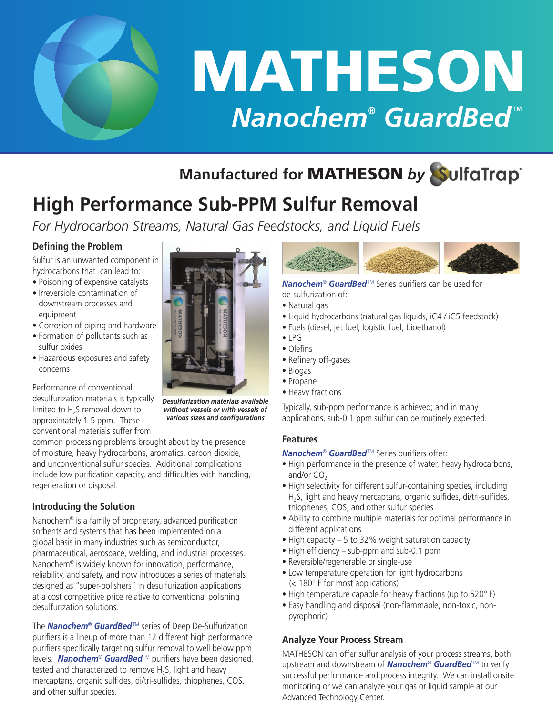

# MATHESON **Nanochem® GuardBed**™

### **Manufactured for** MATHESON *by*

## **High Performance Sub-PPM Sulfur Removal**

*For Hydrocarbon Streams, Natural Gas Feedstocks, and Liquid Fuels*

#### **Defining the Problem**

Sulfur is an unwanted component in hydrocarbons that can lead to:

- Poisoning of expensive catalysts
- Irreversible contamination of downstream processes and equipment
- Corrosion of piping and hardware
- Formation of pollutants such as sulfur oxides
- Hazardous exposures and safety concerns

Performance of conventional desulfurization materials is typically limited to H<sub>2</sub>S removal down to approximately 1-5 ppm. These conventional materials suffer from

common processing problems brought about by the presence of moisture, heavy hydrocarbons, aromatics, carbon dioxide, and unconventional sulfur species. Additional complications include low purification capacity, and difficulties with handling, regeneration or disposal.

#### **Introducing the Solution**

Nanochem® is a family of proprietary, advanced purification sorbents and systems that has been implemented on a global basis in many industries such as semiconductor, pharmaceutical, aerospace, welding, and industrial processes. Nanochem® is widely known for innovation, performance, reliability, and safety, and now introduces a series of materials designed as "super-polishers" in desulfurization applications at a cost competitive price relative to conventional polishing desulfurization solutions.

The *Nanochem*® *GuardBed*TM series of Deep De-Sulfurization purifiers is a lineup of more than 12 different high performance purifiers specifically targeting sulfur removal to well below ppm levels. *Nanochem*® *GuardBed*TM purifiers have been designed, tested and characterized to remove H<sub>2</sub>S, light and heavy mercaptans, organic sulfides, di/tri-sulfides, thiophenes, COS, and other sulfur species.



*Desulfurization materials available without vessels or with vessels of various sizes and configurations*



*Nanochem*® *GuardBed*TM Series purifiers can be used for de-sulfurization of:

- Natural gas
- Liquid hydrocarbons (natural gas liquids, iC4 / iC5 feedstock)
- Fuels (diesel, jet fuel, logistic fuel, bioethanol)
- $\bullet$  | PG
- Olefins
- Refinery off-gases
- Biogas
- Propane
- Heavy fractions

Typically, sub-ppm performance is achieved; and in many applications, sub-0.1 ppm sulfur can be routinely expected.

#### **Features**

*Nanochem*® *GuardBed*TM Series purifiers offer:

- High performance in the presence of water, heavy hydrocarbons, and/or  $CO<sub>2</sub>$
- High selectivity for different sulfur-containing species, including H2S, light and heavy mercaptans, organic sulfides, di/tri-sulfides, thiophenes, COS, and other sulfur species
- Ability to combine multiple materials for optimal performance in different applications
- High capacity 5 to 32% weight saturation capacity
- High efficiency sub-ppm and sub-0.1 ppm
- Reversible/regenerable or single-use
- Low temperature operation for light hydrocarbons (< 180° F for most applications)
- High temperature capable for heavy fractions (up to 520° F)
- Easy handling and disposal (non-flammable, non-toxic, nonpyrophoric)

#### **Analyze Your Process Stream**

MATHESON can offer sulfur analysis of your process streams, both upstream and downstream of *Nanochem*® *GuardBed*TM to verify successful performance and process integrity. We can install onsite monitoring or we can analyze your gas or liquid sample at our Advanced Technology Center.